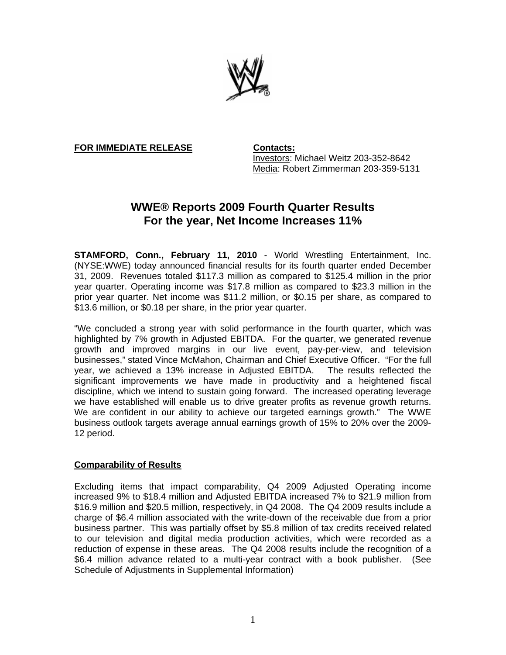

**FOR IMMEDIATE RELEASE Contacts:**

Investors: Michael Weitz 203-352-8642 Media: Robert Zimmerman 203-359-5131

# **WWE® Reports 2009 Fourth Quarter Results For the year, Net Income Increases 11%**

**STAMFORD, Conn., February 11, 2010** - World Wrestling Entertainment, Inc. (NYSE:WWE) today announced financial results for its fourth quarter ended December 31, 2009. Revenues totaled \$117.3 million as compared to \$125.4 million in the prior year quarter. Operating income was \$17.8 million as compared to \$23.3 million in the prior year quarter. Net income was \$11.2 million, or \$0.15 per share, as compared to \$13.6 million, or \$0.18 per share, in the prior year quarter.

"We concluded a strong year with solid performance in the fourth quarter, which was highlighted by 7% growth in Adjusted EBITDA. For the quarter, we generated revenue growth and improved margins in our live event, pay-per-view, and television businesses," stated Vince McMahon, Chairman and Chief Executive Officer. "For the full year, we achieved a 13% increase in Adjusted EBITDA. The results reflected the significant improvements we have made in productivity and a heightened fiscal discipline, which we intend to sustain going forward. The increased operating leverage we have established will enable us to drive greater profits as revenue growth returns. We are confident in our ability to achieve our targeted earnings growth." The WWE business outlook targets average annual earnings growth of 15% to 20% over the 2009- 12 period.

## **Comparability of Results**

Excluding items that impact comparability, Q4 2009 Adjusted Operating income increased 9% to \$18.4 million and Adjusted EBITDA increased 7% to \$21.9 million from \$16.9 million and \$20.5 million, respectively, in Q4 2008. The Q4 2009 results include a charge of \$6.4 million associated with the write-down of the receivable due from a prior business partner. This was partially offset by \$5.8 million of tax credits received related to our television and digital media production activities, which were recorded as a reduction of expense in these areas. The Q4 2008 results include the recognition of a \$6.4 million advance related to a multi-year contract with a book publisher. (See Schedule of Adjustments in Supplemental Information)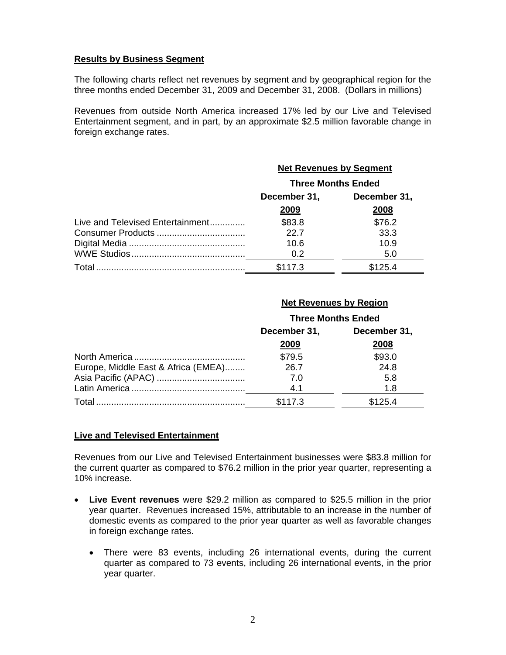#### **Results by Business Segment**

The following charts reflect net revenues by segment and by geographical region for the three months ended December 31, 2009 and December 31, 2008. (Dollars in millions)

Revenues from outside North America increased 17% led by our Live and Televised Entertainment segment, and in part, by an approximate \$2.5 million favorable change in foreign exchange rates.

|                                  | <b>Net Revenues by Segment</b> |         |  |
|----------------------------------|--------------------------------|---------|--|
|                                  | <b>Three Months Ended</b>      |         |  |
|                                  | December 31,<br>December 31,   |         |  |
|                                  | 2009                           | 2008    |  |
| Live and Televised Entertainment | \$83.8                         | \$76.2  |  |
|                                  | 22.7                           | 33.3    |  |
|                                  | 10.6                           | 10.9    |  |
|                                  | 0.2                            | 5.0     |  |
| Total                            | \$117.3                        | \$125.4 |  |

#### **Net Revenues by Region**

|                                     | <b>Three Months Ended</b> |              |  |
|-------------------------------------|---------------------------|--------------|--|
|                                     | December 31,              | December 31, |  |
|                                     | 2009                      | 2008         |  |
|                                     | \$79.5                    | \$93.0       |  |
| Europe, Middle East & Africa (EMEA) | 26.7                      | 24.8         |  |
|                                     | 7.0                       | 5.8          |  |
|                                     | 4.1                       | 1.8          |  |
| Total                               | \$117.3                   | \$125.4      |  |

#### **Live and Televised Entertainment**

Revenues from our Live and Televised Entertainment businesses were \$83.8 million for the current quarter as compared to \$76.2 million in the prior year quarter, representing a 10% increase.

- **Live Event revenues** were \$29.2 million as compared to \$25.5 million in the prior year quarter. Revenues increased 15%, attributable to an increase in the number of domestic events as compared to the prior year quarter as well as favorable changes in foreign exchange rates.
	- There were 83 events, including 26 international events, during the current quarter as compared to 73 events, including 26 international events, in the prior year quarter.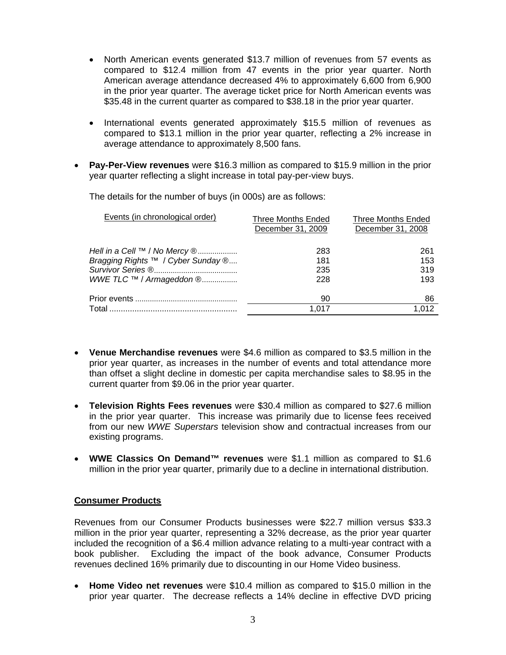- North American events generated \$13.7 million of revenues from 57 events as compared to \$12.4 million from 47 events in the prior year quarter. North American average attendance decreased 4% to approximately 6,600 from 6,900 in the prior year quarter. The average ticket price for North American events was \$35.48 in the current quarter as compared to \$38.18 in the prior year quarter.
- International events generated approximately \$15.5 million of revenues as compared to \$13.1 million in the prior year quarter, reflecting a 2% increase in average attendance to approximately 8,500 fans.
- **Pay-Per-View revenues** were \$16.3 million as compared to \$15.9 million in the prior year quarter reflecting a slight increase in total pay-per-view buys.

The details for the number of buys (in 000s) are as follows:

| Events (in chronological order)    | Three Months Ended<br>December 31, 2009 | <b>Three Months Ended</b><br>December 31, 2008 |
|------------------------------------|-----------------------------------------|------------------------------------------------|
| Hell in a Cell ™ / No Mercy ®      | 283                                     | 261                                            |
| Bragging Rights ™ / Cyber Sunday ® | 181                                     | 153                                            |
|                                    | 235                                     | 319                                            |
| WWE TLC ™ / Armageddon ®           | 228                                     | 193                                            |
|                                    | 90                                      | 86                                             |
| Total                              | 1.017                                   | 012                                            |

- **Venue Merchandise revenues** were \$4.6 million as compared to \$3.5 million in the prior year quarter, as increases in the number of events and total attendance more than offset a slight decline in domestic per capita merchandise sales to \$8.95 in the current quarter from \$9.06 in the prior year quarter.
- **Television Rights Fees revenues** were \$30.4 million as compared to \$27.6 million in the prior year quarter. This increase was primarily due to license fees received from our new *WWE Superstars* television show and contractual increases from our existing programs.
- **WWE Classics On Demand™ revenues** were \$1.1 million as compared to \$1.6 million in the prior year quarter, primarily due to a decline in international distribution.

## **Consumer Products**

Revenues from our Consumer Products businesses were \$22.7 million versus \$33.3 million in the prior year quarter, representing a 32% decrease, as the prior year quarter included the recognition of a \$6.4 million advance relating to a multi-year contract with a book publisher. Excluding the impact of the book advance, Consumer Products revenues declined 16% primarily due to discounting in our Home Video business.

• **Home Video net revenues** were \$10.4 million as compared to \$15.0 million in the prior year quarter. The decrease reflects a 14% decline in effective DVD pricing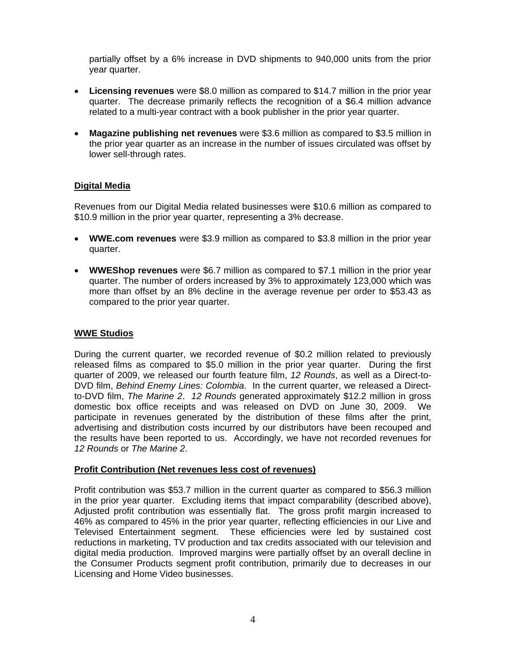partially offset by a 6% increase in DVD shipments to 940,000 units from the prior year quarter.

- **Licensing revenues** were \$8.0 million as compared to \$14.7 million in the prior year quarter. The decrease primarily reflects the recognition of a \$6.4 million advance related to a multi-year contract with a book publisher in the prior year quarter.
- **Magazine publishing net revenues** were \$3.6 million as compared to \$3.5 million in the prior year quarter as an increase in the number of issues circulated was offset by lower sell-through rates.

## **Digital Media**

Revenues from our Digital Media related businesses were \$10.6 million as compared to \$10.9 million in the prior year quarter, representing a 3% decrease.

- **WWE.com revenues** were \$3.9 million as compared to \$3.8 million in the prior year quarter.
- **WWEShop revenues** were \$6.7 million as compared to \$7.1 million in the prior year quarter. The number of orders increased by 3% to approximately 123,000 which was more than offset by an 8% decline in the average revenue per order to \$53.43 as compared to the prior year quarter.

## **WWE Studios**

During the current quarter, we recorded revenue of \$0.2 million related to previously released films as compared to \$5.0 million in the prior year quarter. During the first quarter of 2009, we released our fourth feature film, *12 Rounds*, as well as a Direct-to-DVD film, *Behind Enemy Lines: Colombia*. In the current quarter, we released a Directto-DVD film, *The Marine 2*. *12 Rounds* generated approximately \$12.2 million in gross domestic box office receipts and was released on DVD on June 30, 2009. We participate in revenues generated by the distribution of these films after the print, advertising and distribution costs incurred by our distributors have been recouped and the results have been reported to us. Accordingly, we have not recorded revenues for *12 Rounds* or *The Marine 2*.

#### **Profit Contribution (Net revenues less cost of revenues)**

Profit contribution was \$53.7 million in the current quarter as compared to \$56.3 million in the prior year quarter. Excluding items that impact comparability (described above), Adjusted profit contribution was essentially flat. The gross profit margin increased to 46% as compared to 45% in the prior year quarter, reflecting efficiencies in our Live and Televised Entertainment segment. These efficiencies were led by sustained cost reductions in marketing, TV production and tax credits associated with our television and digital media production. Improved margins were partially offset by an overall decline in the Consumer Products segment profit contribution, primarily due to decreases in our Licensing and Home Video businesses.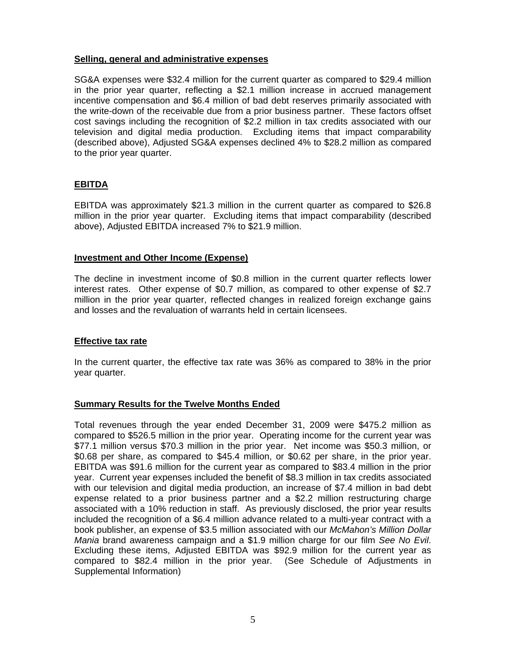#### **Selling, general and administrative expenses**

SG&A expenses were \$32.4 million for the current quarter as compared to \$29.4 million in the prior year quarter, reflecting a \$2.1 million increase in accrued management incentive compensation and \$6.4 million of bad debt reserves primarily associated with the write-down of the receivable due from a prior business partner. These factors offset cost savings including the recognition of \$2.2 million in tax credits associated with our television and digital media production. Excluding items that impact comparability (described above), Adjusted SG&A expenses declined 4% to \$28.2 million as compared to the prior year quarter.

## **EBITDA**

EBITDA was approximately \$21.3 million in the current quarter as compared to \$26.8 million in the prior year quarter. Excluding items that impact comparability (described above), Adjusted EBITDA increased 7% to \$21.9 million.

#### **Investment and Other Income (Expense)**

The decline in investment income of \$0.8 million in the current quarter reflects lower interest rates. Other expense of \$0.7 million, as compared to other expense of \$2.7 million in the prior year quarter, reflected changes in realized foreign exchange gains and losses and the revaluation of warrants held in certain licensees.

## **Effective tax rate**

In the current quarter, the effective tax rate was 36% as compared to 38% in the prior year quarter.

## **Summary Results for the Twelve Months Ended**

Total revenues through the year ended December 31, 2009 were \$475.2 million as compared to \$526.5 million in the prior year. Operating income for the current year was \$77.1 million versus \$70.3 million in the prior year. Net income was \$50.3 million, or \$0.68 per share, as compared to \$45.4 million, or \$0.62 per share, in the prior year. EBITDA was \$91.6 million for the current year as compared to \$83.4 million in the prior year. Current year expenses included the benefit of \$8.3 million in tax credits associated with our television and digital media production, an increase of \$7.4 million in bad debt expense related to a prior business partner and a \$2.2 million restructuring charge associated with a 10% reduction in staff. As previously disclosed, the prior year results included the recognition of a \$6.4 million advance related to a multi-year contract with a book publisher, an expense of \$3.5 million associated with our *McMahon's Million Dollar Mania* brand awareness campaign and a \$1.9 million charge for our film *See No Evil*. Excluding these items, Adjusted EBITDA was \$92.9 million for the current year as compared to \$82.4 million in the prior year. (See Schedule of Adjustments in Supplemental Information)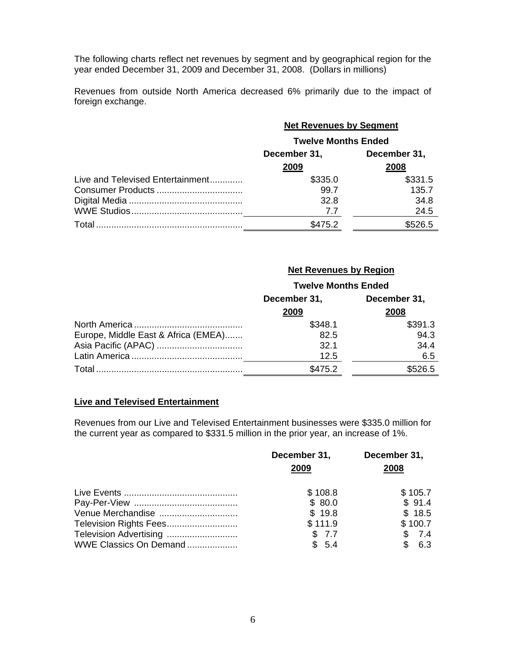The following charts reflect net revenues by segment and by geographical region for the year ended December 31, 2009 and December 31, 2008. (Dollars in millions)

Revenues from outside North America decreased 6% primarily due to the impact of foreign exchange.

|                                  | <b>Net Revenues by Segment</b><br><b>Twelve Months Ended</b> |         |  |
|----------------------------------|--------------------------------------------------------------|---------|--|
|                                  |                                                              |         |  |
|                                  | December 31,<br>December 31,                                 |         |  |
|                                  | 2009                                                         | 2008    |  |
| Live and Televised Entertainment | \$335.0                                                      | \$331.5 |  |
|                                  | 99.7                                                         | 135.7   |  |
|                                  | 32.8                                                         | 34.8    |  |
|                                  | 7.7                                                          | 24.5    |  |
|                                  | \$475.2                                                      | \$526.5 |  |

## **Net Revenues by Region**

|                                     | <b>Twelve Months Ended</b> |              |  |
|-------------------------------------|----------------------------|--------------|--|
|                                     | December 31,               | December 31, |  |
|                                     | 2009                       | 2008         |  |
|                                     | \$348.1                    | \$391.3      |  |
| Europe, Middle East & Africa (EMEA) | 82.5                       | 94.3         |  |
|                                     | 32.1                       | 34.4         |  |
|                                     | 12.5                       | 6.5          |  |
|                                     | \$475.2                    | \$526.5      |  |

#### **Live and Televised Entertainment**

Revenues from our Live and Televised Entertainment businesses were \$335.0 million for the current year as compared to \$331.5 million in the prior year, an increase of 1%.

|                        | December 31,<br>2009 | December 31,<br>2008 |
|------------------------|----------------------|----------------------|
|                        | \$108.8              | \$105.7              |
|                        | \$80.0               | \$91.4               |
| Venue Merchandise      | \$19.8               | \$18.5               |
|                        | \$111.9              | \$100.7              |
| Television Advertising | \$7.7                | \$7.4                |
| WWE Classics On Demand | \$5.4                | \$6.3                |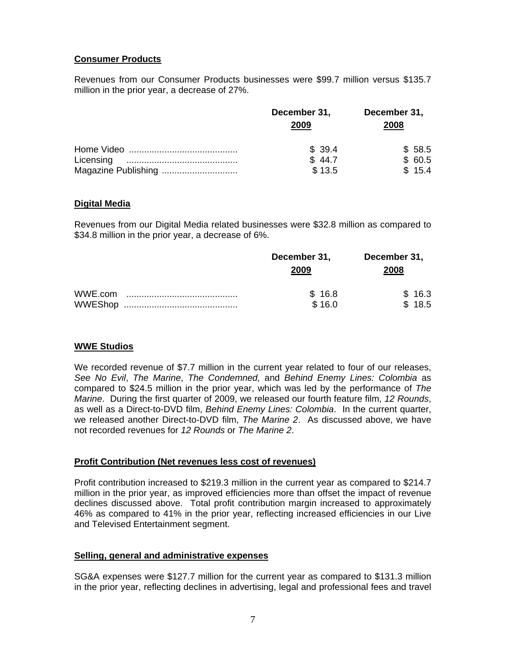## **Consumer Products**

Revenues from our Consumer Products businesses were \$99.7 million versus \$135.7 million in the prior year, a decrease of 27%.

|                     | December 31,<br>2009 | December 31,<br>2008 |
|---------------------|----------------------|----------------------|
|                     | \$39.4               | \$58.5               |
|                     | \$44.7               | \$60.5               |
| Magazine Publishing | \$13.5               | \$15.4               |

#### **Digital Media**

Revenues from our Digital Media related businesses were \$32.8 million as compared to \$34.8 million in the prior year, a decrease of 6%.

|         | December 31,<br>2009 | December 31,<br>2008 |
|---------|----------------------|----------------------|
| WWE.com | \$16.8<br>\$16.0     | \$16.3<br>\$18.5     |

## **WWE Studios**

We recorded revenue of \$7.7 million in the current year related to four of our releases, *See No Evil*, *The Marine*, *The Condemned,* and *Behind Enemy Lines: Colombia* as compared to \$24.5 million in the prior year, which was led by the performance of *The Marine*. During the first quarter of 2009, we released our fourth feature film, *12 Rounds*, as well as a Direct-to-DVD film, *Behind Enemy Lines: Colombia*. In the current quarter, we released another Direct-to-DVD film, *The Marine 2*. As discussed above, we have not recorded revenues for *12 Rounds* or *The Marine 2*.

## **Profit Contribution (Net revenues less cost of revenues)**

Profit contribution increased to \$219.3 million in the current year as compared to \$214.7 million in the prior year, as improved efficiencies more than offset the impact of revenue declines discussed above. Total profit contribution margin increased to approximately 46% as compared to 41% in the prior year, reflecting increased efficiencies in our Live and Televised Entertainment segment.

#### **Selling, general and administrative expenses**

SG&A expenses were \$127.7 million for the current year as compared to \$131.3 million in the prior year, reflecting declines in advertising, legal and professional fees and travel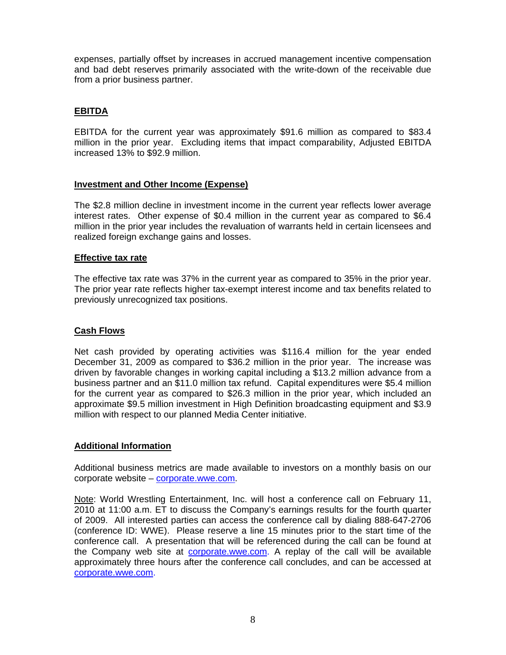expenses, partially offset by increases in accrued management incentive compensation and bad debt reserves primarily associated with the write-down of the receivable due from a prior business partner.

## **EBITDA**

EBITDA for the current year was approximately \$91.6 million as compared to \$83.4 million in the prior year. Excluding items that impact comparability, Adjusted EBITDA increased 13% to \$92.9 million.

## **Investment and Other Income (Expense)**

The \$2.8 million decline in investment income in the current year reflects lower average interest rates. Other expense of \$0.4 million in the current year as compared to \$6.4 million in the prior year includes the revaluation of warrants held in certain licensees and realized foreign exchange gains and losses.

#### **Effective tax rate**

The effective tax rate was 37% in the current year as compared to 35% in the prior year. The prior year rate reflects higher tax-exempt interest income and tax benefits related to previously unrecognized tax positions.

## **Cash Flows**

Net cash provided by operating activities was \$116.4 million for the year ended December 31, 2009 as compared to \$36.2 million in the prior year. The increase was driven by favorable changes in working capital including a \$13.2 million advance from a business partner and an \$11.0 million tax refund. Capital expenditures were \$5.4 million for the current year as compared to \$26.3 million in the prior year, which included an approximate \$9.5 million investment in High Definition broadcasting equipment and \$3.9 million with respect to our planned Media Center initiative.

## **Additional Information**

Additional business metrics are made available to investors on a monthly basis on our corporate website – corporate.wwe.com.

Note: World Wrestling Entertainment, Inc. will host a conference call on February 11, 2010 at 11:00 a.m. ET to discuss the Company's earnings results for the fourth quarter of 2009. All interested parties can access the conference call by dialing 888-647-2706 (conference ID: WWE). Please reserve a line 15 minutes prior to the start time of the conference call. A presentation that will be referenced during the call can be found at the Company web site at corporate.wwe.com. A replay of the call will be available approximately three hours after the conference call concludes, and can be accessed at corporate.wwe.com.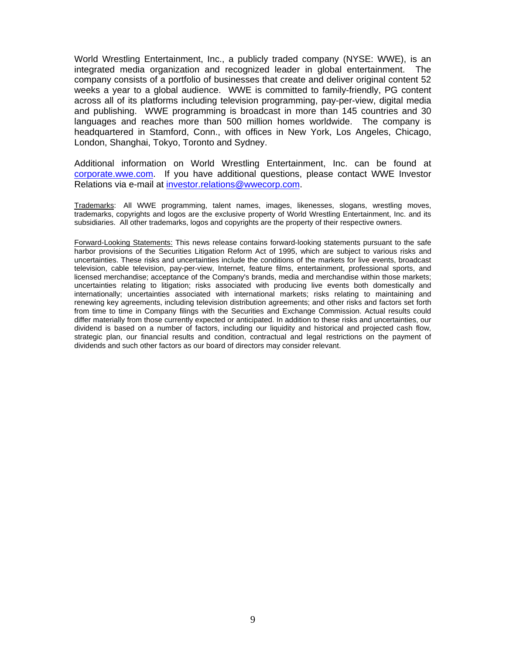World Wrestling Entertainment, Inc., a publicly traded company (NYSE: WWE), is an integrated media organization and recognized leader in global entertainment. The company consists of a portfolio of businesses that create and deliver original content 52 weeks a year to a global audience. WWE is committed to family-friendly, PG content across all of its platforms including television programming, pay-per-view, digital media and publishing. WWE programming is broadcast in more than 145 countries and 30 languages and reaches more than 500 million homes worldwide. The company is headquartered in Stamford, Conn., with offices in New York, Los Angeles, Chicago, London, Shanghai, Tokyo, Toronto and Sydney.

Additional information on World Wrestling Entertainment, Inc. can be found at corporate.wwe.com. If you have additional questions, please contact WWE Investor Relations via e-mail at investor.relations@wwecorp.com.

Trademarks: All WWE programming, talent names, images, likenesses, slogans, wrestling moves, trademarks, copyrights and logos are the exclusive property of World Wrestling Entertainment, Inc. and its subsidiaries. All other trademarks, logos and copyrights are the property of their respective owners.

Forward-Looking Statements: This news release contains forward-looking statements pursuant to the safe harbor provisions of the Securities Litigation Reform Act of 1995, which are subject to various risks and uncertainties. These risks and uncertainties include the conditions of the markets for live events, broadcast television, cable television, pay-per-view, Internet, feature films, entertainment, professional sports, and licensed merchandise; acceptance of the Company's brands, media and merchandise within those markets; uncertainties relating to litigation; risks associated with producing live events both domestically and internationally; uncertainties associated with international markets; risks relating to maintaining and renewing key agreements, including television distribution agreements; and other risks and factors set forth from time to time in Company filings with the Securities and Exchange Commission. Actual results could differ materially from those currently expected or anticipated. In addition to these risks and uncertainties, our dividend is based on a number of factors, including our liquidity and historical and projected cash flow, strategic plan, our financial results and condition, contractual and legal restrictions on the payment of dividends and such other factors as our board of directors may consider relevant.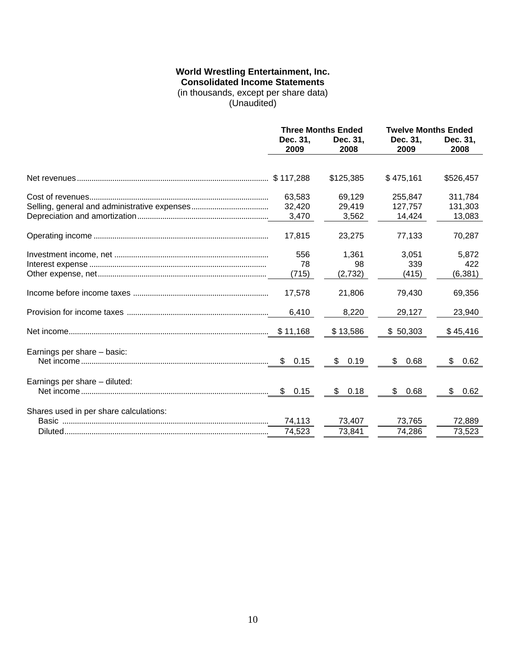#### **World Wrestling Entertainment, Inc. Consolidated Income Statements**

(in thousands, except per share data)

(Unaudited)

|                                        | <b>Three Months Ended</b> |                  | <b>Twelve Months Ended</b> |                  |
|----------------------------------------|---------------------------|------------------|----------------------------|------------------|
|                                        | Dec. 31,<br>2009          | Dec. 31.<br>2008 | Dec. 31,<br>2009           | Dec. 31,<br>2008 |
|                                        |                           |                  |                            |                  |
|                                        |                           | \$125,385        | \$475,161                  | \$526,457        |
|                                        | 63,583                    | 69,129           | 255,847                    | 311,784          |
|                                        | 32,420                    | 29,419           | 127,757                    | 131,303          |
|                                        | 3,470                     | 3,562            | 14,424                     | 13,083           |
|                                        | 17,815                    | 23,275           | 77,133                     | 70,287           |
|                                        | 556                       | 1,361            | 3,051                      | 5,872            |
|                                        | 78                        | 98               | 339                        | 422              |
|                                        | (715)                     | (2,732)          | (415)                      | (6, 381)         |
|                                        | 17,578                    | 21,806           | 79,430                     | 69,356           |
|                                        | 6,410                     | 8,220            | 29,127                     | 23,940           |
|                                        |                           | \$13,586         | \$50,303                   | \$45,416         |
| Earnings per share - basic:            |                           |                  |                            |                  |
|                                        | \$0.15                    | \$<br>0.19       | \$<br>0.68                 | \$<br>0.62       |
| Earnings per share - diluted:          |                           |                  |                            |                  |
|                                        | \$<br>0.15                | 0.18<br>\$       | \$<br>0.68                 | \$<br>0.62       |
| Shares used in per share calculations: |                           |                  |                            |                  |
|                                        | 74,113                    | 73,407           | 73,765                     | 72,889           |
|                                        | 74,523                    | 73,841           | 74,286                     | 73,523           |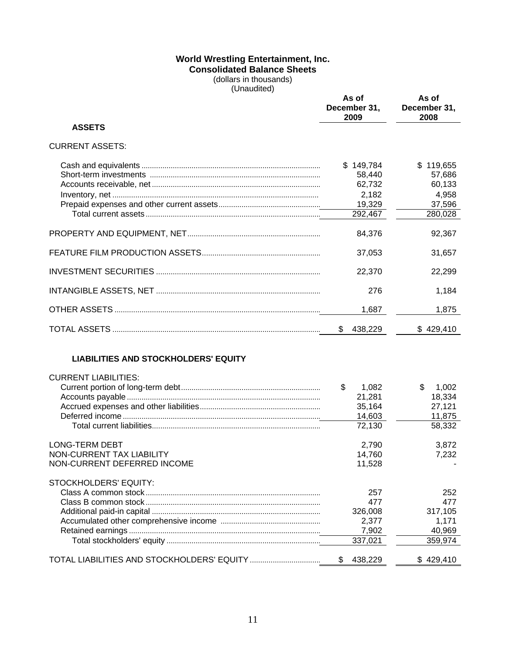## **World Wrestling Entertainment, Inc. Consolidated Balance Sheets**

(dollars in thousands) (Unaudited)

|                                             | As of<br>December 31,<br>2009 | As of<br>December 31,<br>2008 |
|---------------------------------------------|-------------------------------|-------------------------------|
| <b>ASSETS</b>                               |                               |                               |
| <b>CURRENT ASSETS:</b>                      |                               |                               |
|                                             | \$149,784                     | \$119,655                     |
|                                             | 58,440                        | 57,686                        |
|                                             | 62,732                        | 60,133                        |
|                                             | 2,182                         | 4,958                         |
|                                             | 19,329                        | 37,596                        |
|                                             | 292,467                       | 280,028                       |
|                                             | 84,376                        | 92,367                        |
|                                             | 37,053                        | 31,657                        |
|                                             | 22,370                        | 22,299                        |
|                                             | 276                           | 1,184                         |
|                                             | 1,687                         | 1,875                         |
|                                             | \$<br>438,229                 | \$429,410                     |
| <b>LIABILITIES AND STOCKHOLDERS' EQUITY</b> |                               |                               |
| <b>CURRENT LIABILITIES:</b>                 |                               |                               |
|                                             | \$<br>1,082                   | \$<br>1,002                   |
|                                             | 21,281                        | 18,334                        |
|                                             | 35,164                        | 27,121                        |
|                                             | 14,603                        | 11,875                        |
|                                             | 72,130                        | 58,332                        |
| <b>LONG-TERM DEBT</b>                       | 2,790                         | 3,872                         |
| NON-CURRENT TAX LIABILITY                   | 14,760                        | 7,232                         |
| NON-CURRENT DEFERRED INCOME                 | 11,528                        |                               |
| STOCKHOLDERS' EQUITY:                       |                               |                               |
|                                             | 257                           | 252                           |
|                                             | 477                           | 477                           |
|                                             | 326,008                       | 317,105                       |
|                                             | 2,377                         | 1,171                         |
|                                             | 7,902                         | 40,969                        |
|                                             | 337,021                       | 359,974                       |
|                                             | \$<br>438,229                 | \$429,410                     |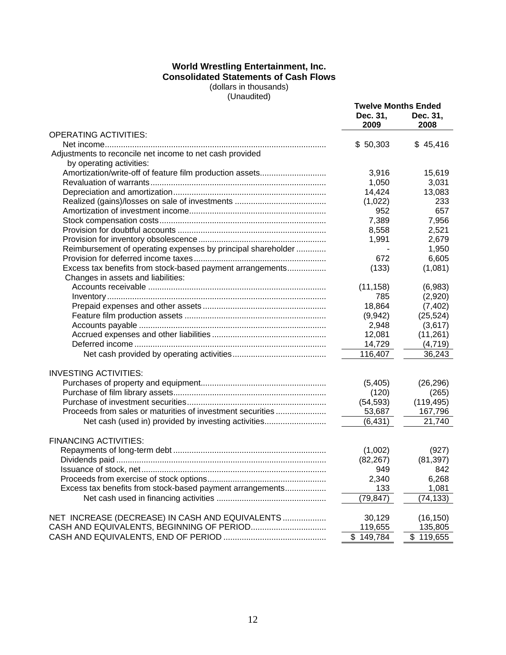#### **World Wrestling Entertainment, Inc. Consolidated Statements of Cash Flows** (dollars in thousands)

(Unaudited)

|                                                              | <b>Twelve Months Ended</b> |                  |
|--------------------------------------------------------------|----------------------------|------------------|
|                                                              | Dec. 31,<br>2009           | Dec. 31,<br>2008 |
| <b>OPERATING ACTIVITIES:</b>                                 |                            |                  |
|                                                              | \$50,303                   | \$45,416         |
| Adjustments to reconcile net income to net cash provided     |                            |                  |
| by operating activities:                                     |                            |                  |
| Amortization/write-off of feature film production assets     | 3,916                      | 15,619           |
|                                                              | 1,050                      | 3,031            |
|                                                              | 14,424                     | 13,083           |
|                                                              | (1,022)                    | 233              |
|                                                              | 952                        | 657              |
|                                                              | 7,389                      | 7,956            |
|                                                              | 8,558                      | 2,521            |
|                                                              | 1,991                      | 2,679            |
| Reimbursement of operating expenses by principal shareholder |                            | 1,950            |
|                                                              | 672                        | 6,605            |
| Excess tax benefits from stock-based payment arrangements    | (133)                      | (1,081)          |
| Changes in assets and liabilities:                           |                            |                  |
|                                                              | (11, 158)                  | (6,983)          |
|                                                              | 785                        | (2,920)          |
|                                                              | 18,864                     | (7, 402)         |
|                                                              | (9,942)                    | (25, 524)        |
|                                                              | 2,948                      | (3,617)          |
|                                                              | 12,081                     | (11,261)         |
|                                                              | 14,729                     | (4, 719)         |
|                                                              | 116,407                    | 36,243           |
| <b>INVESTING ACTIVITIES:</b>                                 |                            |                  |
|                                                              | (5,405)                    | (26, 296)        |
|                                                              | (120)                      | (265)            |
|                                                              | (54, 593)                  | (119, 495)       |
| Proceeds from sales or maturities of investment securities   | 53,687                     | 167,796          |
| Net cash (used in) provided by investing activities          | (6, 431)                   | 21,740           |
| <b>FINANCING ACTIVITIES:</b>                                 |                            |                  |
|                                                              | (1,002)                    | (927)            |
|                                                              | (82, 267)                  | (81, 397)        |
| Issuance of stock, net                                       | 949                        | 842              |
|                                                              | 2,340                      | 6,268            |
| Excess tax benefits from stock-based payment arrangements    | 133                        | 1,081            |
|                                                              | (79, 847)                  | (74, 133)        |
| NET INCREASE (DECREASE) IN CASH AND EQUIVALENTS              | 30,129                     | (16, 150)        |
| CASH AND EQUIVALENTS, BEGINNING OF PERIOD                    | 119,655                    | 135,805          |
|                                                              | \$149,784                  | \$119,655        |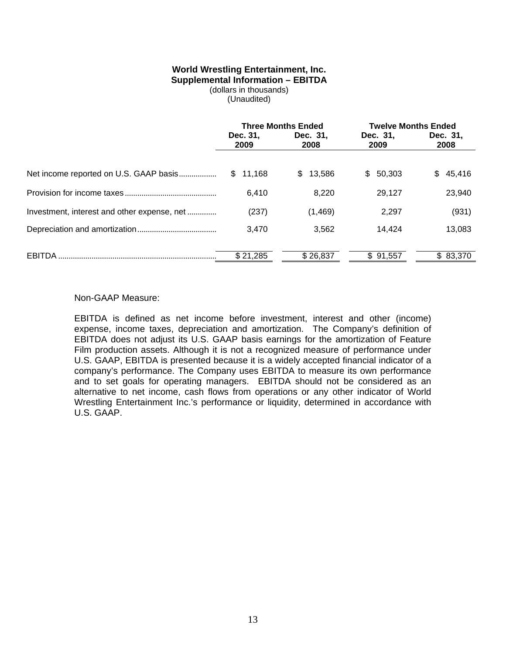#### **World Wrestling Entertainment, Inc. Supplemental Information – EBITDA**

(dollars in thousands)

(Unaudited)

|                                             | <b>Three Months Ended</b> |                  | <b>Twelve Months Ended</b> |                  |
|---------------------------------------------|---------------------------|------------------|----------------------------|------------------|
|                                             | Dec. 31,<br>2009          | Dec. 31,<br>2008 | Dec. 31,<br>2009           | Dec. 31,<br>2008 |
|                                             | \$11,168                  | \$.<br>13,586    | 50.303<br>SS.              | \$45,416         |
|                                             | 6,410                     | 8,220            | 29.127                     | 23,940           |
| Investment, interest and other expense, net | (237)                     | (1, 469)         | 2,297                      | (931)            |
|                                             | 3,470                     | 3,562            | 14.424                     | 13,083           |
| EBITDA                                      | \$21,285                  | \$26,837         | \$91,557                   | \$83,370         |

#### Non-GAAP Measure:

EBITDA is defined as net income before investment, interest and other (income) expense, income taxes, depreciation and amortization. The Company's definition of EBITDA does not adjust its U.S. GAAP basis earnings for the amortization of Feature Film production assets. Although it is not a recognized measure of performance under U.S. GAAP, EBITDA is presented because it is a widely accepted financial indicator of a company's performance. The Company uses EBITDA to measure its own performance and to set goals for operating managers. EBITDA should not be considered as an alternative to net income, cash flows from operations or any other indicator of World Wrestling Entertainment Inc.'s performance or liquidity, determined in accordance with U.S. GAAP.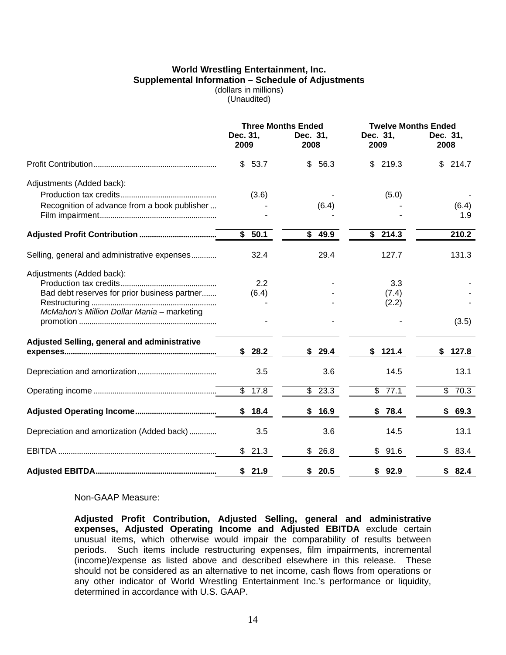#### **World Wrestling Entertainment, Inc. Supplemental Information – Schedule of Adjustments**  (dollars in millions)

(Unaudited)

|                                              | Dec. 31,             | <b>Three Months Ended</b><br>Dec. 31, | <b>Twelve Months Ended</b><br>Dec. 31,<br>Dec. 31, |                                  |  |  |  |
|----------------------------------------------|----------------------|---------------------------------------|----------------------------------------------------|----------------------------------|--|--|--|
|                                              | 2009                 | 2008                                  | 2009                                               | 2008                             |  |  |  |
|                                              | 53.7<br>\$           | 56.3<br>\$                            | 219.3<br>\$                                        | 214.7<br>\$                      |  |  |  |
| Adjustments (Added back):                    |                      |                                       |                                                    |                                  |  |  |  |
|                                              | (3.6)                |                                       | (5.0)                                              |                                  |  |  |  |
| Recognition of advance from a book publisher |                      | (6.4)                                 |                                                    | (6.4)                            |  |  |  |
|                                              |                      |                                       |                                                    | 1.9                              |  |  |  |
|                                              | \$<br>50.1           | \$<br>49.9                            | \$214.3                                            | 210.2                            |  |  |  |
| Selling, general and administrative expenses | 32.4                 | 29.4                                  | 127.7                                              | 131.3                            |  |  |  |
| Adjustments (Added back):                    |                      |                                       |                                                    |                                  |  |  |  |
|                                              | 2.2                  |                                       | 3.3                                                |                                  |  |  |  |
| Bad debt reserves for prior business partner | (6.4)                |                                       | (7.4)                                              |                                  |  |  |  |
| McMahon's Million Dollar Mania - marketing   |                      |                                       | (2.2)                                              |                                  |  |  |  |
|                                              |                      |                                       |                                                    | (3.5)                            |  |  |  |
| Adjusted Selling, general and administrative |                      |                                       |                                                    |                                  |  |  |  |
|                                              | 28.2<br>\$           | \$<br>29.4                            | 121.4<br>\$                                        | 127.8<br>S.                      |  |  |  |
|                                              | 3.5                  | 3.6                                   | 14.5                                               | 13.1                             |  |  |  |
|                                              | \$<br>17.8           | \$<br>23.3                            | \$<br>77.1                                         | \$70.3                           |  |  |  |
|                                              | 18.4<br>\$           | 16.9<br>\$                            | \$78.4                                             | \$<br>69.3                       |  |  |  |
| Depreciation and amortization (Added back)   | 3.5                  | 3.6                                   | 14.5                                               | 13.1                             |  |  |  |
|                                              | $\overline{\$}$ 21.3 | $\overline{\mathbb{S}}$<br>26.8       | $\overline{\mathbb{S}}$<br>91.6                    | $\overline{\mathcal{E}}$<br>83.4 |  |  |  |
|                                              | 21.9<br>\$           | \$20.5                                | 92.9<br>\$                                         | 82.4<br>\$                       |  |  |  |

Non-GAAP Measure:

**Adjusted Profit Contribution, Adjusted Selling, general and administrative expenses, Adjusted Operating Income and Adjusted EBITDA** exclude certain unusual items, which otherwise would impair the comparability of results between periods. Such items include restructuring expenses, film impairments, incremental (income)/expense as listed above and described elsewhere in this release. These should not be considered as an alternative to net income, cash flows from operations or any other indicator of World Wrestling Entertainment Inc.'s performance or liquidity, determined in accordance with U.S. GAAP.